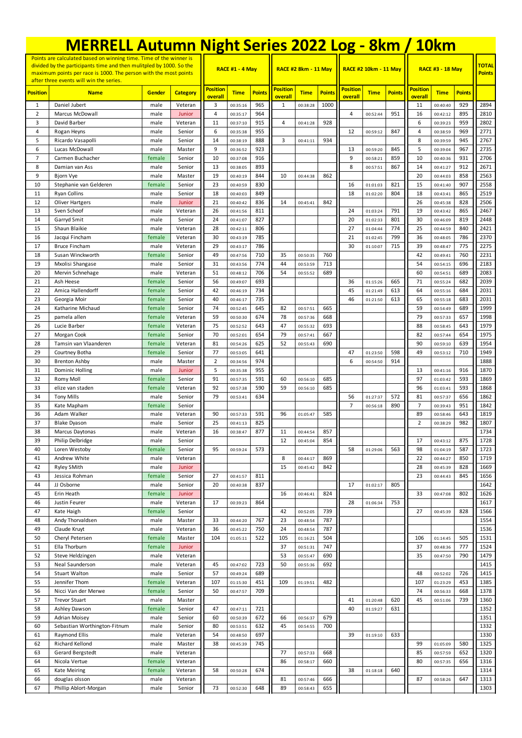|                                                                                                                                                                                                               | <b>MERRELL Autumn Night Series 2022 Log - 8km / 10km</b> |                  |                   |                            |                        |               |                            |                             |               |                            |                              |               |                            |                               |               |              |
|---------------------------------------------------------------------------------------------------------------------------------------------------------------------------------------------------------------|----------------------------------------------------------|------------------|-------------------|----------------------------|------------------------|---------------|----------------------------|-----------------------------|---------------|----------------------------|------------------------------|---------------|----------------------------|-------------------------------|---------------|--------------|
| Points are calculated based on winning time. Time of the winner is<br>divided by the participants time and then mulitpled by 1000. So the<br>maximum points per race is 1000. The person with the most points |                                                          |                  |                   |                            | <b>RACE #1 - 4 May</b> |               |                            | <b>RACE #2 8km - 11 May</b> |               |                            | <b>RACE #2 10km - 11 May</b> |               | <b>RACE #3 - 18 May</b>    | <b>TOTAL</b><br><b>Points</b> |               |              |
| <b>Position</b>                                                                                                                                                                                               | after three events will win the series.<br><b>Name</b>   | <b>Gender</b>    | <b>Category</b>   | <b>Position</b><br>overall | <b>Time</b>            | <b>Points</b> | <b>Position</b><br>overall | <b>Time</b>                 | <b>Points</b> | <b>Position</b><br>overall | <b>Time</b>                  | <b>Points</b> | <b>Position</b><br>overall | <b>Time</b>                   | <b>Points</b> |              |
| $\mathbf{1}$                                                                                                                                                                                                  | Daniel Jubert                                            | male             | Veteran           | 3                          | 00:35:16               | 965           | $\mathbf{1}$               | 00:38:28                    | 1000          |                            |                              |               | 11                         | 00:40:40                      | 929           | 2894         |
| $\overline{2}$                                                                                                                                                                                                | Marcus McDowall                                          | male             | Junior            | 4                          | 00:35:17               | 964           |                            |                             |               | 4                          | 00:52:44                     | 951           | 16                         | 00:42:12                      | 895           | 2810         |
| 3<br>4                                                                                                                                                                                                        | David Barber<br>Rogan Heyns                              | male<br>male     | Veteran<br>Senior | 11<br>6                    | 00:37:10<br>00:35:38   | 915<br>955    | 4                          | 00:41:28                    | 928           | 12                         | 00:59:12                     | 847           | 6<br>$\overline{4}$        | 00:39:23<br>00:38:59          | 959<br>969    | 2802<br>2771 |
| 5                                                                                                                                                                                                             | Ricardo Vasapolli                                        | male             | Senior            | 14                         | 00:38:19               | 888           | 3                          | 00:41:11                    | 934           |                            |                              |               | 8                          | 00:39:59                      | 945           | 2767         |
| 6                                                                                                                                                                                                             | Lucas McDowall                                           | male             | Master            | 9                          | 00:36:52               | 923           |                            |                             |               | 13                         | 00:59:20                     | 845           | 5                          | 00:39:04                      | 967           | 2735         |
| $\overline{7}$                                                                                                                                                                                                | Carmen Buchacher                                         | female           | Senior            | 10                         | 00:37:08               | 916           |                            |                             |               | 9                          | 00:58:21                     | 859           | 10                         | 00:40:36                      | 931           | 2706         |
| 8                                                                                                                                                                                                             | Damian van Ass                                           | male             | Senior            | 13                         | 00:38:05               | 893           |                            |                             |               | 8                          | 00:57:51                     | 867           | 14                         | 00:41:27                      | 912           | 2671         |
| 9                                                                                                                                                                                                             | Bjorn Vye                                                | male             | Master            | 19                         | 00:40:19               | 844           | 10                         | 00:44:38                    | 862           |                            |                              |               | 20                         | 00:44:03                      | 858           | 2563         |
| 10<br>11                                                                                                                                                                                                      | Stephanie van Gelderen<br><b>Ryan Collins</b>            | female<br>male   | Senior<br>Senior  | 23<br>18                   | 00:40:59<br>00:40:03   | 830<br>849    |                            |                             |               | 16<br>18                   | 01:01:03<br>01:02:20         | 821<br>804    | 15<br>18                   | 00:41:40<br>00:43:41          | 907<br>865    | 2558<br>2519 |
| 12                                                                                                                                                                                                            | <b>Oliver Hartgers</b>                                   | male             | Junior            | 21                         | 00:40:42               | 836           | 14                         | 00:45:41                    | 842           |                            |                              |               | 26                         | 00:45:38                      | 828           | 2506         |
| 13                                                                                                                                                                                                            | Sven Schoof                                              | male             | Veteran           | 26                         | 00:41:56               | 811           |                            |                             |               | 24                         | 01:03:24                     | 791           | 19                         | 00:43:42                      | 865           | 2467         |
| 14                                                                                                                                                                                                            | Garryd Smit                                              | male             | Senior            | 24                         | 00:41:07               | 827           |                            |                             |               | 20                         | 01:02:33                     | 801           | 30                         | 00:46:09                      | 819           | 2448         |
| 15                                                                                                                                                                                                            | Shaun Blaikie                                            | male             | Veteran           | 28                         | 00:42:11               | 806           |                            |                             |               | 27                         | 01:04:44                     | 774           | 25                         | 00:44:59                      | 840           | 2421         |
| 16                                                                                                                                                                                                            | Jacqui Fincham                                           | female           | Veteran           | 30                         | 00:43:19               | 785           |                            |                             |               | 21                         | 01:02:45                     | 799           | 36                         | 00:48:05                      | 786           | 2370         |
| 17<br>18                                                                                                                                                                                                      | <b>Bruce Fincham</b><br>Susan Winckworth                 | male<br>female   | Veteran<br>Senior | 29<br>49                   | 00:43:17<br>00:47:56   | 786<br>710    | 35                         | 00:50:35                    | 760           | 30                         | 01:10:07                     | 715           | 39<br>42                   | 00:48:47<br>00:49:41          | 775<br>760    | 2275<br>2231 |
| 19                                                                                                                                                                                                            | Mxolisi Shangase                                         | male             | Senior            | 31                         | 00:43:56               | 774           | 44                         | 00:53:59                    | 713           |                            |                              |               | 54                         | 00:54:15                      | 696           | 2183         |
| 20                                                                                                                                                                                                            | Mervin Schnehage                                         | male             | Veteran           | 51                         | 00:48:12               | 706           | 54                         | 00:55:52                    | 689           |                            |                              |               | 60                         | 00:54:51                      | 689           | 2083         |
| 21                                                                                                                                                                                                            | Ash Heese                                                | female           | Senior            | 56                         | 00:49:07               | 693           |                            |                             |               | 36                         | 01:15:26                     | 665           | 71                         | 00:55:24                      | 682           | 2039         |
| 22                                                                                                                                                                                                            | Amica Hallendorff                                        | female           | Senior            | 42                         | 00:46:19               | 734           |                            |                             |               | 45                         | 01:21:49                     | 613           | 64                         | 00:55:16                      | 684           | 2031         |
| 23                                                                                                                                                                                                            | Georgia Moir                                             | female           | Senior            | 40                         | 00:46:17               | 735           |                            |                             |               | 46                         | 01:21:50                     | 613           | 65                         | 00:55:18                      | 683           | 2031         |
| 24<br>25                                                                                                                                                                                                      | Katharine Michaud<br>pamela allen                        | female<br>female | Senior<br>Veteran | 74<br>59                   | 00:52:45<br>00:50:30   | 645<br>674    | 82<br>78                   | 00:57:51<br>00:57:36        | 665<br>668    |                            |                              |               | 59<br>79                   | 00:54:49<br>00:57:33          | 689<br>657    | 1999<br>1998 |
| 26                                                                                                                                                                                                            | Lucie Barber                                             | female           | Veteran           | 75                         | 00:52:52               | 643           | 47                         | 00:55:32                    | 693           |                            |                              |               | 88                         | 00:58:45                      | 643           | 1979         |
| 27                                                                                                                                                                                                            | Morgan Cook                                              | female           | Senior            | 70                         | 00:52:01               | 654           | 79                         | 00:57:41                    | 667           |                            |                              |               | 82                         | 00:57:44                      | 654           | 1975         |
| 28                                                                                                                                                                                                            | Tamsin van Vlaanderen                                    | female           | Veteran           | 81                         | 00:54:26               | 625           | 52                         | 00:55:43                    | 690           |                            |                              |               | 90                         | 00:59:10                      | 639           | 1954         |
| 29                                                                                                                                                                                                            | Courtney Botha                                           | female           | Senior            | 77                         | 00:53:05               | 641           |                            |                             |               | 47                         | 01:23:50                     | 598           | 49                         | 00:53:12                      | 710           | 1949         |
| 30                                                                                                                                                                                                            | <b>Brenton Ashby</b>                                     | male             | Master            | $\overline{2}$             | 00:34:56               | 974           |                            |                             |               | 6                          | 00:54:50                     | 914           |                            |                               |               | 1888         |
| 31<br>32                                                                                                                                                                                                      | Dominic Holling<br>Romy Moll                             | male<br>female   | Junior<br>Senior  | 5<br>91                    | 00:35:38<br>00:57:35   | 955<br>591    | 60                         | 00:56:10                    | 685           |                            |                              |               | 13<br>97                   | 00:41:16<br>01:03:42          | 916<br>593    | 1870<br>1869 |
| 33                                                                                                                                                                                                            | elize van staden                                         | female           | Veteran           | 92                         | 00:57:38               | 590           | 59                         | 00:56:10                    | 685           |                            |                              |               | 96                         | 01:03:41                      | 593           | 1868         |
| 34                                                                                                                                                                                                            | <b>Tony Mills</b>                                        | male             | Senior            | 79                         | 00:53:41               | 634           |                            |                             |               | 56                         | 01:27:37                     | 572           | 81                         | 00:57:37                      | 656           | 1862         |
| 35                                                                                                                                                                                                            | Kate Mapham                                              | female           | Senior            |                            |                        |               |                            |                             |               | 7                          | 00:56:18                     | 890           | $\overline{7}$             | 00:39:43                      | 951           | 1842         |
| 36                                                                                                                                                                                                            | Adam Walker                                              | male             | Veteran           | 90                         | 00:57:33               | 591           | 96                         | 01:05:47                    | 585           |                            |                              |               | 89                         | 00:58:46                      | 643           | 1819         |
| 37                                                                                                                                                                                                            | <b>Blake Dyason</b>                                      | male             | Senior            | 25                         | 00:41:13               | 825           |                            |                             |               |                            |                              |               | $\overline{2}$             | 00:38:29                      | 982           | 1807         |
| 38<br>39                                                                                                                                                                                                      | Marcus Daytonas<br>Philip Delbridge                      | male<br>male     | veteran<br>Senior | 16                         | 00:38:47               | 877           | 11<br>12                   | 00:44:54<br>00:45:04        | 857<br>854    |                            |                              |               | 17                         | 00:43:12                      | 875           | 1734<br>1728 |
| 40                                                                                                                                                                                                            | Loren Westoby                                            | female           | Senior            | 95                         | 00:59:24               | 573           |                            |                             |               | 58                         | 01:29:06                     | 563           | 98                         | 01:04:19                      | 587           | 1723         |
| 41                                                                                                                                                                                                            | Andrew White                                             | male             | Veteran           |                            |                        |               | 8                          | 00:44:17                    | 869           |                            |                              |               | 22                         | 00:44:27                      | 850           | 1719         |
| 42                                                                                                                                                                                                            | Ryley SMith                                              | male             | Junior            |                            |                        |               | 15                         | 00:45:42                    | 842           |                            |                              |               | 28                         | 00:45:39                      | 828           | 1669         |
| 43                                                                                                                                                                                                            | Jessica Rohman                                           | female           | Senior            | 27                         | 00:41:57               | 811           |                            |                             |               |                            |                              |               | 23                         | 00:44:43                      | 845           | 1656         |
| 44                                                                                                                                                                                                            | JJ Osborne                                               | male             | Senior            | 20                         | 00:40:38               | 837           |                            |                             |               | 17                         | 01:02:17                     | 805           |                            |                               |               | 1642         |
| 45<br>46                                                                                                                                                                                                      | Erin Heath<br>Justin Feurer                              | female<br>male   | Junior<br>Veteran | 17                         |                        | 864           | 16                         | 00:46:41                    | 824           | 28                         | 01:06:34                     | 753           | 33                         | 00:47:08                      | 802           | 1626<br>1617 |
| 47                                                                                                                                                                                                            | Kate Haigh                                               | female           | Senior            |                            | 00:39:23               |               | 42                         | 00:52:05                    | 739           |                            |                              |               | 27                         | 00:45:39                      | 828           | 1566         |
| 48                                                                                                                                                                                                            | Andy Thorvaldsen                                         | male             | Master            | 33                         | 00:44:20               | 767           | 23                         | 00:48:54                    | 787           |                            |                              |               |                            |                               |               | 1554         |
| 49                                                                                                                                                                                                            | Claude Kruyt                                             | male             | Veteran           | 36                         | 00:45:22               | 750           | 24                         | 00:48:54                    | 787           |                            |                              |               |                            |                               |               | 1536         |
| 50                                                                                                                                                                                                            | Cheryl Petersen                                          | female           | Master            | 104                        | 01:05:11               | 522           | 105                        | 01:16:21                    | 504           |                            |                              |               | 106                        | 01:14:45                      | 505           | 1531         |
| 51                                                                                                                                                                                                            | Ella Thorburn                                            | female           | Junior            |                            |                        |               | 37                         | 00:51:31                    | 747           |                            |                              |               | 37                         | 00:48:36                      | 777           | 1524         |
| 52<br>53                                                                                                                                                                                                      | Steve Heldzingen                                         | male             | Veteran           | 45                         |                        |               | 53<br>50                   | 00:55:47                    | 690<br>692    |                            |                              |               | 35                         | 00:47:50                      | 790           | 1479         |
| 54                                                                                                                                                                                                            | Neal Saunderson<br>Stuart Walton                         | male<br>male     | Veteran<br>Senior | 57                         | 00:47:02<br>00:49:24   | 723<br>689    |                            | 00:55:36                    |               |                            |                              |               | 48                         | 00:52:02                      | 726           | 1415<br>1415 |
| 55                                                                                                                                                                                                            | Jennifer Thom                                            | female           | Veteran           | 107                        | 01:15:30               | 451           | 109                        | 01:19:51                    | 482           |                            |                              |               | 107                        | 01:23:29                      | 453           | 1385         |
| 56                                                                                                                                                                                                            | Nicci Van der Merwe                                      | female           | Senior            | 50                         | 00:47:57               | 709           |                            |                             |               |                            |                              |               | 74                         | 00:56:33                      | 668           | 1378         |
| 57                                                                                                                                                                                                            | <b>Trevor Stuart</b>                                     | male             | Master            |                            |                        |               |                            |                             |               | 41                         | 01:20:48                     | 620           | 45                         | 00:51:06                      | 739           | 1360         |
| 58                                                                                                                                                                                                            | Ashley Dawson                                            | female           | Senior            | 47                         | 00:47:11               | 721           |                            |                             |               | 40                         | 01:19:27                     | 631           |                            |                               |               | 1352         |
| 59                                                                                                                                                                                                            | <b>Adrian Moisey</b>                                     | male             | Senior            | 60                         | 00:50:39               | 672           | 66                         | 00:56:37                    | 679           |                            |                              |               |                            |                               |               | 1351         |
| 60<br>61                                                                                                                                                                                                      | Sebastian Worthington-Fitnum<br>Raymond Ellis            | male<br>male     | Senior<br>Veteran | 80<br>54                   | 00:53:51<br>00:48:50   | 632<br>697    | 45                         | 00:54:55                    | 700           | 39                         | 01:19:10                     | 633           |                            |                               |               | 1332<br>1330 |
| 62                                                                                                                                                                                                            | Richard Kellond                                          | male             | Master            | 38                         | 00:45:39               | 745           |                            |                             |               |                            |                              |               | 99                         | 01:05:09                      | 580           | 1325         |
| 63                                                                                                                                                                                                            | Gerard Bergstedt                                         | male             | Veteran           |                            |                        |               | 77                         | 00:57:33                    | 668           |                            |                              |               | 85                         | 00:57:59                      | 652           | 1320         |
| 64                                                                                                                                                                                                            | Nicola Vertue                                            | female           | Veteran           |                            |                        |               | 86                         | 00:58:17                    | 660           |                            |                              |               | 80                         | 00:57:35                      | 656           | 1316         |
| 65                                                                                                                                                                                                            | Kate Meiring                                             | female           | Veteran           | 58                         | 00:50:28               | 674           |                            |                             |               | 38                         | 01:18:18                     | 640           |                            |                               |               | 1314         |
| 66                                                                                                                                                                                                            | douglas olsson                                           | male             | Veteran           |                            |                        |               | 81                         | 00:57:46                    | 666           |                            |                              |               | 87                         | 00:58:26                      | 647           | 1313         |
| 67                                                                                                                                                                                                            | Phillip Ablort-Morgan                                    | male             | Senior            | 73                         | 00:52:30               | 648           | 89                         | 00:58:43                    | 655           |                            |                              |               |                            |                               |               | 1303         |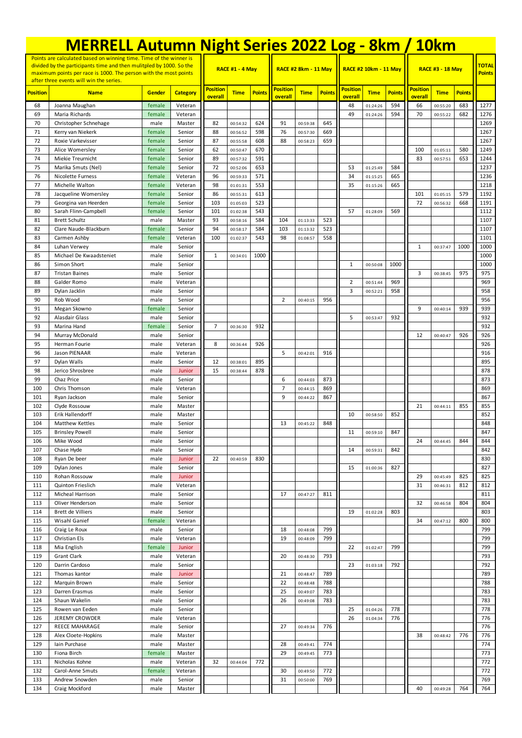|                                                                                                                                           | <b>MERRELL Autumn Night Series 2022 Log - 8km / 10km</b> |                  |                    |                            |                      |                             |                            |             |               |                            |                              |               |                            |               |               |              |
|-------------------------------------------------------------------------------------------------------------------------------------------|----------------------------------------------------------|------------------|--------------------|----------------------------|----------------------|-----------------------------|----------------------------|-------------|---------------|----------------------------|------------------------------|---------------|----------------------------|---------------|---------------|--------------|
| Points are calculated based on winning time. Time of the winner is<br>divided by the participants time and then mulitpled by 1000. So the |                                                          |                  |                    |                            | RACE #1 - 4 May      |                             |                            |             |               |                            | <b>RACE #2 10km - 11 May</b> |               | <b>RACE #3 - 18 May</b>    | <b>TOTAL</b>  |               |              |
| maximum points per race is 1000. The person with the most points<br>after three events will win the series.                               |                                                          |                  |                    |                            |                      | <b>RACE #2 8km - 11 May</b> |                            |             |               |                            |                              |               |                            | <b>Points</b> |               |              |
| <b>Position</b>                                                                                                                           | <b>Name</b>                                              | <b>Gender</b>    | <b>Category</b>    | <b>Position</b><br>overall | <b>Time</b>          | <b>Points</b>               | <b>Position</b><br>overall | <b>Time</b> | <b>Points</b> | <b>Position</b><br>overall | <b>Time</b>                  | <b>Points</b> | <b>Position</b><br>overall | <b>Time</b>   | <b>Points</b> |              |
| 68                                                                                                                                        | Joanna Maughan                                           | female           | Veteran            |                            |                      |                             |                            |             |               | 48                         | 01:24:26                     | 594           | 66                         | 00:55:20      | 683           | 1277         |
| 69<br>70                                                                                                                                  | Maria Richards<br>Christopher Schnehage                  | female<br>male   | Veteran<br>Master  | 82                         | 00:54:32             | 624                         | 91                         | 00:59:38    | 645           | 49                         | 01:24:26                     | 594           | 70                         | 00:55:22      | 682           | 1276<br>1269 |
| 71                                                                                                                                        | Kerry van Niekerk                                        | female           | Senior             | 88                         | 00:56:52             | 598                         | 76                         | 00:57:30    | 669           |                            |                              |               |                            |               |               | 1267         |
| 72                                                                                                                                        | Roxie Varkevisser                                        | female           | Senior             | 87                         | 00:55:58             | 608                         | 88                         | 00:58:23    | 659           |                            |                              |               |                            |               |               | 1267         |
| 73                                                                                                                                        | Alice Womerslev                                          | female           | Senior             | 62                         | 00:50:47             | 670                         |                            |             |               |                            |                              |               | 100                        | 01:05:11      | 580           | 1249         |
| 74                                                                                                                                        | Miekie Treurnicht                                        | female           | Senior             | 89                         | 00:57:32             | 591                         |                            |             |               |                            |                              |               | 83                         | 00:57:51      | 653           | 1244         |
| 75                                                                                                                                        | Marika Smuts (Nel)                                       | female           | Senior             | 72                         | 00:52:06             | 653                         |                            |             |               | 53                         | 01:25:49                     | 584           |                            |               |               | 1237         |
| 76<br>77                                                                                                                                  | <b>Nicolette Furness</b><br>Michelle Walton              | female<br>female | Veteran<br>Veteran | 96<br>98                   | 00:59:33<br>01:01:31 | 571<br>553                  |                            |             |               | 34<br>35                   | 01:15:25<br>01:15:26         | 665<br>665    |                            |               |               | 1236<br>1218 |
| 78                                                                                                                                        | Jacqueline Womersley                                     | female           | Senior             | 86                         | 00:55:31             | 613                         |                            |             |               |                            |                              |               | 101                        | 01:05:15      | 579           | 1192         |
| 79                                                                                                                                        | Georgina van Heerden                                     | female           | Senior             | 103                        | 01:05:03             | 523                         |                            |             |               |                            |                              |               | 72                         | 00:56:32      | 668           | 1191         |
| 80                                                                                                                                        | Sarah Flinn-Campbell                                     | female           | Senior             | 101                        | 01:02:38             | 543                         |                            |             |               | 57                         | 01:28:09                     | 569           |                            |               |               | 1112         |
| 81                                                                                                                                        | <b>Brett Schultz</b>                                     | male             | Master             | 93                         | 00:58:16             | 584                         | 104                        | 01:13:33    | 523           |                            |                              |               |                            |               |               | 1107         |
| 82                                                                                                                                        | Clare Naude-Blackburn                                    | female           | Senior             | 94                         | 00:58:17             | 584                         | 103                        | 01:13:32    | 523           |                            |                              |               |                            |               |               | 1107         |
| 83<br>84                                                                                                                                  | Carmen Ashby<br>Luhan Verwey                             | female<br>male   | Veteran<br>Senior  | 100                        | 01:02:37             | 543                         | 98                         | 01:08:57    | 558           |                            |                              |               | $\mathbf{1}$               | 00:37:47      | 1000          | 1101<br>1000 |
| 85                                                                                                                                        | Michael De Kwaadsteniet                                  | male             | Senior             | $\mathbf{1}$               | 00:34:01             | 1000                        |                            |             |               |                            |                              |               |                            |               |               | 1000         |
| 86                                                                                                                                        | Simon Short                                              | male             | Senior             |                            |                      |                             |                            |             |               | 1                          | 00:50:08                     | 1000          |                            |               |               | 1000         |
| 87                                                                                                                                        | <b>Tristan Baines</b>                                    | male             | Senior             |                            |                      |                             |                            |             |               |                            |                              |               | 3                          | 00:38:45      | 975           | 975          |
| 88                                                                                                                                        | Galder Romo                                              | male             | Veteran            |                            |                      |                             |                            |             |               | $\overline{2}$             | 00:51:44                     | 969           |                            |               |               | 969          |
| 89                                                                                                                                        | Dylan Jacklin                                            | male             | Senior             |                            |                      |                             |                            |             |               | 3                          | 00:52:21                     | 958           |                            |               |               | 958          |
| 90<br>91                                                                                                                                  | Rob Wood                                                 | male             | Senior             |                            |                      |                             | 2                          | 00:40:15    | 956           |                            |                              |               | 9                          |               |               | 956          |
| 92                                                                                                                                        | Megan Skowno<br>Alasdair Glass                           | female<br>male   | Senior<br>Senior   |                            |                      |                             |                            |             |               | 5                          | 00:53:47                     | 932           |                            | 00:40:14      | 939           | 939<br>932   |
| 93                                                                                                                                        | Marina Hand                                              | female           | Senior             | $\overline{7}$             | 00:36:30             | 932                         |                            |             |               |                            |                              |               |                            |               |               | 932          |
| 94                                                                                                                                        | Murray McDonald                                          | male             | Senior             |                            |                      |                             |                            |             |               |                            |                              |               | 12                         | 00:40:47      | 926           | 926          |
| 95                                                                                                                                        | Herman Fourie                                            | male             | Veteran            | 8                          | 00:36:44             | 926                         |                            |             |               |                            |                              |               |                            |               |               | 926          |
| 96                                                                                                                                        | Jason PIENAAR                                            | male             | Veteran            |                            |                      |                             | 5                          | 00:42:01    | 916           |                            |                              |               |                            |               |               | 916          |
| 97<br>98                                                                                                                                  | Dylan Walls                                              | male             | Senior             | 12<br>15                   | 00:38:01             | 895<br>878                  |                            |             |               |                            |                              |               |                            |               |               | 895<br>878   |
| 99                                                                                                                                        | Jerico Shrosbree<br>Chaz Price                           | male<br>male     | Junior<br>Senior   |                            | 00:38:44             |                             | 6                          | 00:44:03    | 873           |                            |                              |               |                            |               |               | 873          |
| 100                                                                                                                                       | Chris Thomson                                            | male             | Veteran            |                            |                      |                             | $\overline{7}$             | 00:44:15    | 869           |                            |                              |               |                            |               |               | 869          |
| 101                                                                                                                                       | Ryan Jackson                                             | male             | Senior             |                            |                      |                             | 9                          | 00:44:22    | 867           |                            |                              |               |                            |               |               | 867          |
| 102                                                                                                                                       | Clyde Rossouw                                            | male             | Master             |                            |                      |                             |                            |             |               |                            |                              |               | 21                         | 00:44:11      | 855           | 855          |
| 103                                                                                                                                       | Erik Hallendorff                                         | male             | Master             |                            |                      |                             |                            |             |               | 10                         | 00:58:50                     | 852           |                            |               |               | 852          |
| 104                                                                                                                                       | Matthew Kettles                                          | male             | Senior             |                            |                      |                             | 13                         | 00:45:22    | 848           |                            |                              |               |                            |               |               | 848          |
| 105<br>106                                                                                                                                | <b>Brinsley Powell</b><br>Mike Wood                      | male<br>male     | Senior<br>Senior   |                            |                      |                             |                            |             |               | 11                         | 00:59:10                     | 847           | 24                         | 00:44:45      | 844           | 847<br>844   |
| 107                                                                                                                                       | Chase Hyde                                               | male             | Senior             |                            |                      |                             |                            |             |               | 14                         | 00:59:31                     | 842           |                            |               |               | 842          |
| 108                                                                                                                                       | Ryan De beer                                             | male             | Junior             | 22                         | 00:40:59             | 830                         |                            |             |               |                            |                              |               |                            |               |               | 830          |
| 109                                                                                                                                       | Dylan Jones                                              | male             | Senior             |                            |                      |                             |                            |             |               | 15                         | 01:00:36                     | 827           |                            |               |               | 827          |
| 110                                                                                                                                       | Rohan Rossouw                                            | male             | Junior             |                            |                      |                             |                            |             |               |                            |                              |               | 29                         | 00:45:49      | 825           | 825          |
| 111                                                                                                                                       | Quinton Frieslich                                        | male             | Veteran            |                            |                      |                             |                            |             |               |                            |                              |               | 31                         | 00:46:31      | 812           | 812          |
| 112<br>113                                                                                                                                | Micheal Harrison<br>Oliver Henderson                     | male<br>male     | Senior<br>Senior   |                            |                      |                             | 17                         | 00:47:27    | 811           |                            |                              |               | 32                         | 00:46:58      | 804           | 811<br>804   |
| 114                                                                                                                                       | Brett de Villiers                                        | male             | Senior             |                            |                      |                             |                            |             |               | 19                         | 01:02:28                     | 803           |                            |               |               | 803          |
| 115                                                                                                                                       | Wisahl Ganief                                            | female           | Veteran            |                            |                      |                             |                            |             |               |                            |                              |               | 34                         | 00:47:12      | 800           | 800          |
| 116                                                                                                                                       | Craig Le Roux                                            | male             | Senior             |                            |                      |                             | 18                         | 00:48:08    | 799           |                            |                              |               |                            |               |               | 799          |
| 117                                                                                                                                       | Christian Els                                            | male             | Veteran            |                            |                      |                             | 19                         | 00:48:09    | 799           |                            |                              |               |                            |               |               | 799          |
| 118                                                                                                                                       | Mia English                                              | female           | Junior             |                            |                      |                             |                            |             |               | 22                         | 01:02:47                     | 799           |                            |               |               | 799          |
| 119<br>120                                                                                                                                | <b>Grant Clark</b><br>Darrin Cardoso                     | male<br>male     | Veteran<br>Senior  |                            |                      |                             | 20                         | 00:48:30    | 793           | 23                         | 01:03:18                     | 792           |                            |               |               | 793<br>792   |
| 121                                                                                                                                       | Thomas kantor                                            | male             | Junior             |                            |                      |                             | 21                         | 00:48:47    | 789           |                            |                              |               |                            |               |               | 789          |
| 122                                                                                                                                       | Marquin Brown                                            | male             | Senior             |                            |                      |                             | 22                         | 00:48:48    | 788           |                            |                              |               |                            |               |               | 788          |
| 123                                                                                                                                       | Darren Erasmus                                           | male             | Senior             |                            |                      |                             | 25                         | 00:49:07    | 783           |                            |                              |               |                            |               |               | 783          |
| 124                                                                                                                                       | Shaun Wakelin                                            | male             | Senior             |                            |                      |                             | 26                         | 00:49:08    | 783           |                            |                              |               |                            |               |               | 783          |
| 125                                                                                                                                       | Rowen van Eeden                                          | male             | Senior             |                            |                      |                             |                            |             |               | 25                         | 01:04:26                     | 778           |                            |               |               | 778          |
| 126                                                                                                                                       | JEREMY CROWDER                                           | male             | Veteran            |                            |                      |                             | 27                         |             |               | 26                         | 01:04:34                     | 776           |                            |               |               | 776          |
| 127<br>128                                                                                                                                | REECE MAHARAGE<br>Alex Cloete-Hopkins                    | male<br>male     | Senior<br>Master   |                            |                      |                             |                            | 00:49:34    | 776           |                            |                              |               | 38                         | 00:48:42      | 776           | 776<br>776   |
| 129                                                                                                                                       | Iain Purchase                                            | male             | Master             |                            |                      |                             | 28                         | 00:49:41    | 774           |                            |                              |               |                            |               |               | 774          |
| 130                                                                                                                                       | Fiona Birch                                              | female           | Master             |                            |                      |                             | 29                         | 00:49:45    | 773           |                            |                              |               |                            |               |               | 773          |
| 131                                                                                                                                       | Nicholas Kohne                                           | male             | Veteran            | 32                         | 00:44:04             | 772                         |                            |             |               |                            |                              |               |                            |               |               | 772          |
| 132                                                                                                                                       | Carol-Anne Smuts                                         | female           | Veteran            |                            |                      |                             | 30                         | 00:49:50    | 772           |                            |                              |               |                            |               |               | 772          |
| 133                                                                                                                                       | Andrew Snowden                                           | male             | Senior             |                            |                      |                             | 31                         | 00:50:00    | 769           |                            |                              |               |                            |               |               | 769          |
| 134                                                                                                                                       | Craig Mockford                                           | male             | Master             |                            |                      |                             |                            |             |               |                            |                              |               | 40                         | 00:49:28      | 764           | 764          |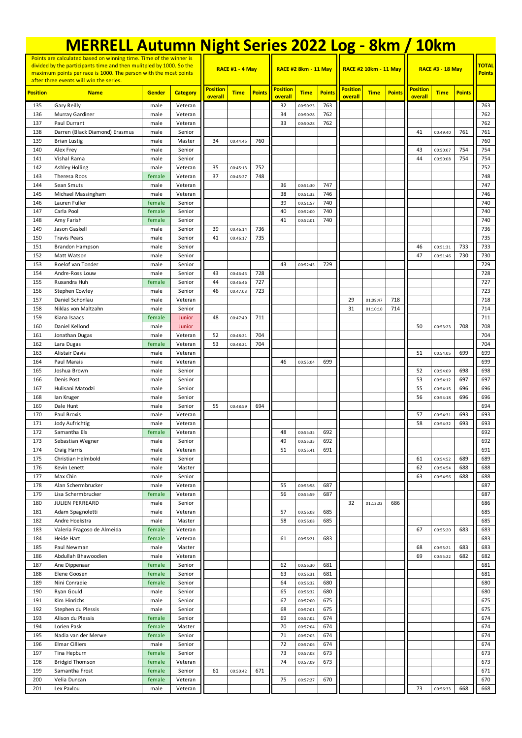|                                                                                                                                           | <b>MERRELL Autumn Night Series 2022 Log - 8km / 10km</b> |                  |                    |                        |                      |               |                 |                             |               |                 |                       |               |                         |             |               |            |
|-------------------------------------------------------------------------------------------------------------------------------------------|----------------------------------------------------------|------------------|--------------------|------------------------|----------------------|---------------|-----------------|-----------------------------|---------------|-----------------|-----------------------|---------------|-------------------------|-------------|---------------|------------|
| Points are calculated based on winning time. Time of the winner is<br>divided by the participants time and then mulitpled by 1000. So the |                                                          |                  |                    |                        |                      |               |                 |                             |               |                 |                       |               | <b>TOTAL</b>            |             |               |            |
| maximum points per race is 1000. The person with the most points<br>after three events will win the series.                               |                                                          |                  |                    | <b>RACE #1 - 4 May</b> |                      |               |                 | <b>RACE #2 8km - 11 May</b> |               |                 | RACE #2 10km - 11 May |               | <b>RACE #3 - 18 May</b> |             | <b>Points</b> |            |
| <b>Position</b>                                                                                                                           | <b>Name</b>                                              | <b>Gender</b>    | <b>Category</b>    | <b>Position</b>        | <b>Time</b>          | <b>Points</b> | <b>Position</b> | <b>Time</b>                 | <b>Points</b> | <b>Position</b> | <b>Time</b>           | <b>Points</b> | <b>Position</b>         | <b>Time</b> | <b>Points</b> |            |
| 135                                                                                                                                       | Gary Reilly                                              | male             | Veteran            | overall                |                      |               | overall<br>32   | 00:50:23                    | 763           | overall         |                       |               | overall                 |             |               | 763        |
| 136                                                                                                                                       | Murray Gardiner                                          | male             | Veteran            |                        |                      |               | 34              | 00:50:28                    | 762           |                 |                       |               |                         |             |               | 762        |
| 137                                                                                                                                       | Paul Durrant                                             | male             | Veteran            |                        |                      |               | 33              | 00:50:28                    | 762           |                 |                       |               |                         |             |               | 762        |
| 138<br>139                                                                                                                                | Darren (Black Diamond) Erasmus<br><b>Brian Lustig</b>    | male<br>male     | Senior<br>Master   | 34                     | 00:44:45             | 760           |                 |                             |               |                 |                       |               | 41                      | 00:49:40    | 761           | 761<br>760 |
| 140                                                                                                                                       | Alex Frey                                                | male             | Senior             |                        |                      |               |                 |                             |               |                 |                       |               | 43                      | 00:50:07    | 754           | 754        |
| 141                                                                                                                                       | Vishal Rama                                              | male             | Senior             |                        |                      |               |                 |                             |               |                 |                       |               | 44                      | 00:50:08    | 754           | 754        |
| 142                                                                                                                                       | Ashley Holling                                           | male             | Veteran            | 35                     | 00:45:13             | 752           |                 |                             |               |                 |                       |               |                         |             |               | 752        |
| 143<br>144                                                                                                                                | Theresa Roos<br>Sean Smuts                               | female           | Veteran<br>Veteran | 37                     | 00:45:27             | 748           | 36              |                             | 747           |                 |                       |               |                         |             |               | 748<br>747 |
| 145                                                                                                                                       | Michael Massingham                                       | male<br>male     | Veteran            |                        |                      |               | 38              | 00:51:30<br>00:51:32        | 746           |                 |                       |               |                         |             |               | 746        |
| 146                                                                                                                                       | Lauren Fuller                                            | female           | Senior             |                        |                      |               | 39              | 00:51:57                    | 740           |                 |                       |               |                         |             |               | 740        |
| 147                                                                                                                                       | Carla Pool                                               | female           | Senior             |                        |                      |               | 40              | 00:52:00                    | 740           |                 |                       |               |                         |             |               | 740        |
| 148                                                                                                                                       | Amy Farish                                               | female           | Senior             |                        |                      |               | 41              | 00:52:01                    | 740           |                 |                       |               |                         |             |               | 740        |
| 149<br>150                                                                                                                                | Jason Gaskell<br><b>Travis Pears</b>                     | male<br>male     | Senior<br>Senior   | 39<br>41               | 00:46:14<br>00:46:17 | 736<br>735    |                 |                             |               |                 |                       |               |                         |             |               | 736<br>735 |
| 151                                                                                                                                       | Brandon Hampson                                          | male             | Senior             |                        |                      |               |                 |                             |               |                 |                       |               | 46                      | 00:51:31    | 733           | 733        |
| 152                                                                                                                                       | Matt Watson                                              | male             | Senior             |                        |                      |               |                 |                             |               |                 |                       |               | 47                      | 00:51:46    | 730           | 730        |
| 153                                                                                                                                       | Roelof van Tonder                                        | male             | Senior             |                        |                      |               | 43              | 00:52:45                    | 729           |                 |                       |               |                         |             |               | 729        |
| 154                                                                                                                                       | Andre-Ross Louw                                          | male             | Senior             | 43                     | 00:46:43             | 728           |                 |                             |               |                 |                       |               |                         |             |               | 728        |
| 155<br>156                                                                                                                                | Ruxandra Huh<br>Stephen Cowley                           | female<br>male   | Senior<br>Senior   | 44<br>46               | 00:46:46<br>00:47:03 | 727<br>723    |                 |                             |               |                 |                       |               |                         |             |               | 727<br>723 |
| 157                                                                                                                                       | Daniel Schonlau                                          | male             | Veteran            |                        |                      |               |                 |                             |               | 29              | 01:09:47              | 718           |                         |             |               | 718        |
| 158                                                                                                                                       | Niklas von Maltzahn                                      | male             | Senior             |                        |                      |               |                 |                             |               | 31              | 01:10:10              | 714           |                         |             |               | 714        |
| 159                                                                                                                                       | Kiana Isaacs                                             | female           | Junior             | 48                     | 00:47:49             | 711           |                 |                             |               |                 |                       |               |                         |             |               | 711        |
| 160                                                                                                                                       | Daniel Kellond                                           | male             | Junior             |                        |                      |               |                 |                             |               |                 |                       |               | 50                      | 00:53:23    | 708           | 708        |
| 161                                                                                                                                       | Jonathan Dugas                                           | male             | Veteran            | 52<br>53               | 00:48:21             | 704<br>704    |                 |                             |               |                 |                       |               |                         |             |               | 704<br>704 |
| 162<br>163                                                                                                                                | Lara Dugas<br><b>Alistair Davis</b>                      | female<br>male   | Veteran<br>Veteran |                        | 00:48:21             |               |                 |                             |               |                 |                       |               | 51                      | 00:54:05    | 699           | 699        |
| 164                                                                                                                                       | Paul Marais                                              | male             | Veteran            |                        |                      |               | 46              | 00:55:04                    | 699           |                 |                       |               |                         |             |               | 699        |
| 165                                                                                                                                       | Joshua Brown                                             | male             | Senior             |                        |                      |               |                 |                             |               |                 |                       |               | 52                      | 00:54:09    | 698           | 698        |
| 166                                                                                                                                       | Denis Post                                               | male             | Senior             |                        |                      |               |                 |                             |               |                 |                       |               | 53                      | 00:54:12    | 697           | 697        |
| 167                                                                                                                                       | Hulisani Matodzi                                         | male             | Senior             |                        |                      |               |                 |                             |               |                 |                       |               | 55                      | 00:54:15    | 696           | 696        |
| 168<br>169                                                                                                                                | lan Kruger<br>Dale Hunt                                  | male<br>male     | Senior<br>Senior   | 55                     | 00:48:59             | 694           |                 |                             |               |                 |                       |               | 56                      | 00:54:18    | 696           | 696<br>694 |
| 170                                                                                                                                       | Paul Broxis                                              | male             | Veteran            |                        |                      |               |                 |                             |               |                 |                       |               | 57                      | 00:54:31    | 693           | 693        |
| 171                                                                                                                                       | Jody Aufrichtig                                          | male             | Veteran            |                        |                      |               |                 |                             |               |                 |                       |               | 58                      | 00:54:32    | 693           | 693        |
| 172                                                                                                                                       | Samantha Els                                             | female           | Veteran            |                        |                      |               | 48              | 00:55:35                    | 692           |                 |                       |               |                         |             |               | 692        |
| 173                                                                                                                                       | Sebastian Wegner                                         | male             | Senior             |                        |                      |               | 49              | 00:55:35                    | 692           |                 |                       |               |                         |             |               | 692        |
| 174<br>175                                                                                                                                | Craig Harris<br>Christian Helmbold                       | male<br>male     | Veteran<br>Senior  |                        |                      |               | 51              | 00:55:41                    | 691           |                 |                       |               | 61                      | 00:54:52    | 689           | 691<br>689 |
| 176                                                                                                                                       | Kevin Lenett                                             | male             | Master             |                        |                      |               |                 |                             |               |                 |                       |               | 62                      | 00:54:54    | 688           | 688        |
| 177                                                                                                                                       | Max Chin                                                 | male             | Senior             |                        |                      |               |                 |                             |               |                 |                       |               | 63                      | 00:54:56    | 688           | 688        |
| 178                                                                                                                                       | Alan Schermbrucker                                       | male             | Veteran            |                        |                      |               | 55              | 00:55:58                    | 687           |                 |                       |               |                         |             |               | 687        |
| 179                                                                                                                                       | Lisa Schermbrucker                                       | female           | Veteran            |                        |                      |               | 56              | 00:55:59                    | 687           |                 |                       |               |                         |             |               | 687        |
| 180<br>181                                                                                                                                | JULIEN PERREARD<br>Adam Spagnoletti                      | male<br>male     | Senior<br>Veteran  |                        |                      |               | 57              | 00:56:08                    | 685           | 32              | 01:13:02              | 686           |                         |             |               | 686<br>685 |
| 182                                                                                                                                       | Andre Hoekstra                                           | male             | Master             |                        |                      |               | 58              | 00:56:08                    | 685           |                 |                       |               |                         |             |               | 685        |
| 183                                                                                                                                       | Valeria Fragoso de Almeida                               | female           | Veteran            |                        |                      |               |                 |                             |               |                 |                       |               | 67                      | 00:55:20    | 683           | 683        |
| 184                                                                                                                                       | Heide Hart                                               | female           | Veteran            |                        |                      |               | 61              | 00:56:21                    | 683           |                 |                       |               |                         |             |               | 683        |
| 185                                                                                                                                       | Paul Newman                                              | male             | Master             |                        |                      |               |                 |                             |               |                 |                       |               | 68                      | 00:55:21    | 683           | 683        |
| 186<br>187                                                                                                                                | Abdullah Bhawoodien<br>Ane Dippenaar                     | male<br>female   | Veteran<br>Senior  |                        |                      |               | 62              | 00:56:30                    | 681           |                 |                       |               | 69                      | 00:55:22    | 682           | 682<br>681 |
| 188                                                                                                                                       | Elene Goosen                                             | female           | Senior             |                        |                      |               | 63              | 00:56:31                    | 681           |                 |                       |               |                         |             |               | 681        |
| 189                                                                                                                                       | Nini Conradie                                            | female           | Senior             |                        |                      |               | 64              | 00:56:32                    | 680           |                 |                       |               |                         |             |               | 680        |
| 190                                                                                                                                       | Ryan Gould                                               | male             | Senior             |                        |                      |               | 65              | 00:56:32                    | 680           |                 |                       |               |                         |             |               | 680        |
| 191                                                                                                                                       | Kim Hinrichs                                             | male             | Senior             |                        |                      |               | 67              | 00:57:00                    | 675           |                 |                       |               |                         |             |               | 675        |
| 192                                                                                                                                       | Stephen du Plessis                                       | male             | Senior             |                        |                      |               | 68              | 00:57:01                    | 675           |                 |                       |               |                         |             |               | 675        |
| 193<br>194                                                                                                                                | Alison du Plessis<br>Lorien Pask                         | female<br>female | Senior<br>Master   |                        |                      |               | 69<br>70        | 00:57:02<br>00:57:04        | 674<br>674    |                 |                       |               |                         |             |               | 674<br>674 |
| 195                                                                                                                                       | Nadia van der Merwe                                      | female           | Senior             |                        |                      |               | 71              | 00:57:05                    | 674           |                 |                       |               |                         |             |               | 674        |
| 196                                                                                                                                       | <b>Elmar Cilliers</b>                                    | male             | Senior             |                        |                      |               | 72              | 00:57:06                    | 674           |                 |                       |               |                         |             |               | 674        |
| 197                                                                                                                                       | Tina Hepburn                                             | female           | Senior             |                        |                      |               | 73              | 00:57:08                    | 673           |                 |                       |               |                         |             |               | 673        |
| 198                                                                                                                                       | <b>Bridgid Thomson</b>                                   | female           | Veteran            |                        |                      |               | 74              | 00:57:09                    | 673           |                 |                       |               |                         |             |               | 673        |
| 199<br>200                                                                                                                                | Samantha Frost<br>Velia Duncan                           | female<br>female | Senior<br>Veteran  | 61                     | 00:50:42             | 671           | 75              | 00:57:27                    | 670           |                 |                       |               |                         |             |               | 671<br>670 |
| 201                                                                                                                                       | Lex Pavlou                                               | male             | Veteran            |                        |                      |               |                 |                             |               |                 |                       |               | 73                      | 00:56:33    | 668           | 668        |
|                                                                                                                                           |                                                          |                  |                    |                        |                      |               |                 |                             |               |                 |                       |               |                         |             |               |            |